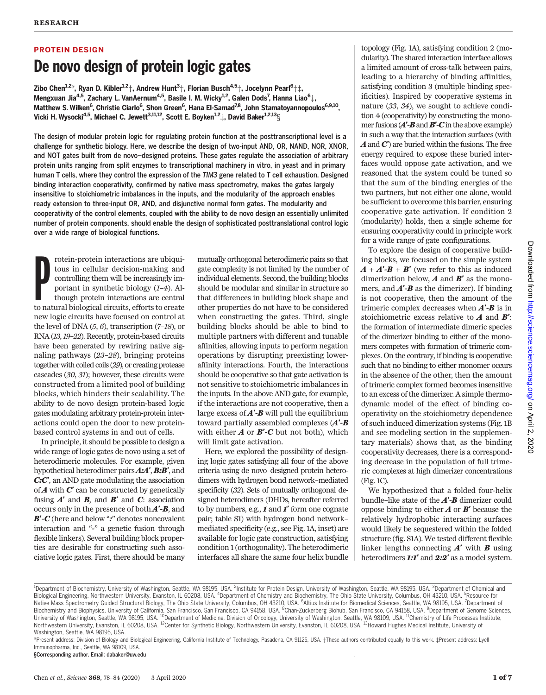# PROTEIN DESIGN De novo design of protein logic gates

Zibo Chen $^{1,2}$ \*, Ryan D. Kibler $^{1,2} \dagger$ , Andrew Hunt $^{3} \dagger$ , Florian Busch $^{4,5} \dagger$ , Jocelynn Pearl $^{6} \dagger^{\pm}$ , Mengxuan Jia<sup>4,5</sup>, Zachary L. VanAernum<sup>4,5</sup>, Basile I. M. Wicky<sup>1,2</sup>, Galen Dods<sup>7</sup>, Hanna Liao<sup>6</sup>‡, Matthew S. Wilken<sup>6</sup>, Christie Ciarlo<sup>6</sup>, Shon Green<sup>6</sup>, Hana El-Samad<sup>7,8</sup>, John Stamatoyannopoulos<sup>6,9,10</sup>, Vicki H. Wysocki<sup>4,5</sup>, Michael C. Jewett<sup>3,11,12</sup>, Scott E. Boyken<sup>1,2</sup>‡, David Baker<sup>1,2,13</sup>§

The design of modular protein logic for regulating protein function at the posttranscriptional level is a challenge for synthetic biology. Here, we describe the design of two-input AND, OR, NAND, NOR, XNOR, and NOT gates built from de novo–designed proteins. These gates regulate the association of arbitrary protein units ranging from split enzymes to transcriptional machinery in vitro, in yeast and in primary human T cells, where they control the expression of the TIM3 gene related to T cell exhaustion. Designed binding interaction cooperativity, confirmed by native mass spectrometry, makes the gates largely insensitive to stoichiometric imbalances in the inputs, and the modularity of the approach enables ready extension to three-input OR, AND, and disjunctive normal form gates. The modularity and cooperativity of the control elements, coupled with the ability to de novo design an essentially unlimited number of protein components, should enable the design of sophisticated posttranslational control logic over a wide range of biological functions.

 $\begin{minipage}{0.9\linewidth} \begin{tabular}{p{0.8cm} \textbf{rotein-protein interactions are ubiqui-  
tous in cellular decision-making and  
controlling them will be increasingly im-  
portant in synthetic biology (*I-4*). Al-  
though protein interactions are central  
to natural biological circuits, efforts to create$ rotein-protein interactions are ubiquitous in cellular decision-making and controlling them will be increasingly important in synthetic biology (1–4). Although protein interactions are central new logic circuits have focused on control at the level of DNA  $(5, 6)$ , transcription  $(7-18)$ , or RNA (13,19–22). Recently, protein-based circuits have been generated by rewiring native signaling pathways (23–28), bringing proteins together with coiled coils (29), or creating protease cascades (30, 31); however, these circuits were constructed from a limited pool of building blocks, which hinders their scalability. The ability to de novo design protein-based logic gates modulating arbitrary protein-protein interactions could open the door to new proteinbased control systems in and out of cells.

In principle, it should be possible to design a wide range of logic gates de novo using a set of heterodimeric molecules. For example, given hypothetical heterodimer pairs **A:A', B:B'**, and C:C′, an AND gate modulating the association of  $\bm{A}$  with  $\bm{C}'$  can be constructed by genetically fusing  $A'$  and  $B$ , and  $B'$  and  $C$ : association occurs only in the presence of both  $A'$ - $B$ , and  $B'$ - $C$  (here and below ":" denotes noncovalent interaction and "-" a genetic fusion through flexible linkers). Several building block properties are desirable for constructing such associative logic gates. First, there should be many

mutually orthogonal heterodimeric pairs so that gate complexity is not limited by the number of individual elements. Second, the building blocks should be modular and similar in structure so that differences in building block shape and other properties do not have to be considered when constructing the gates. Third, single building blocks should be able to bind to multiple partners with different and tunable affinities, allowing inputs to perform negation operations by disrupting preexisting loweraffinity interactions. Fourth, the interactions should be cooperative so that gate activation is not sensitive to stoichiometric imbalances in the inputs. In the above AND gate, for example, if the interactions are not cooperative, then a large excess of  $\vec{A}'$ - $\vec{B}$  will pull the equilibrium toward partially assembled complexes  $(A'$ -B with either  $A$  or  $B'$ - $C$  but not both), which will limit gate activation.

Here, we explored the possibility of designing logic gates satisfying all four of the above criteria using de novo–designed protein heterodimers with hydrogen bond network–mediated specificity (32). Sets of mutually orthogonal designed heterodimers (DHDs, hereafter referred to by numbers, e.g.,  $\boldsymbol{I}$  and  $\boldsymbol{I}'$  form one cognate pair; table S1) with hydrogen bond network– mediated specificity (e.g., see Fig. 1A, inset) are available for logic gate construction, satisfying condition 1 (orthogonality). The heterodimeric interfaces all share the same four helix bundle

topology (Fig. 1A), satisfying condition 2 (modularity). The shared interaction interface allows a limited amount of cross-talk between pairs, leading to a hierarchy of binding affinities, satisfying condition 3 (multiple binding specificities). Inspired by cooperative systems in nature (33, 34), we sought to achieve condition 4 (cooperativity) by constructing the monomer fusions  $(A'$ -**B** and **B'**-**C** in the above example) in such a way that the interaction surfaces (with  $\boldsymbol{A}$  and  $\boldsymbol{C}'$  are buried within the fusions. The free energy required to expose these buried interfaces would oppose gate activation, and we reasoned that the system could be tuned so that the sum of the binding energies of the two partners, but not either one alone, would be sufficient to overcome this barrier, ensuring cooperative gate activation. If condition 2 (modularity) holds, then a single scheme for ensuring cooperativity could in principle work for a wide range of gate configurations.

To explore the design of cooperative building blocks, we focused on the simple system  $A + A' - B + B'$  (we refer to this as induced dimerization below,  $\boldsymbol{A}$  and  $\boldsymbol{B}'$  as the monomers, and  $A'$ -B as the dimerizer). If binding is not cooperative, then the amount of the trimeric complex decreases when  $A'$ - $B$  is in stoichiometric excess relative to  $A$  and  $B'$ : the formation of intermediate dimeric species of the dimerizer binding to either of the monomers competes with formation of trimeric complexes. On the contrary, if binding is cooperative such that no binding to either monomer occurs in the absence of the other, then the amount of trimeric complex formed becomes insensitive to an excess of the dimerizer. A simple thermodynamic model of the effect of binding cooperativity on the stoichiometry dependence of such induced dimerization systems (Fig. 1B and see modeling section in the supplementary materials) shows that, as the binding cooperativity decreases, there is a corresponding decrease in the population of full trimeric complexes at high dimerizer concentrations (Fig. 1C).

We hypothesized that a folded four-helix bundle–like state of the  $A'$ - $B$  dimerizer could oppose binding to either  $A$  or  $B'$  because the relatively hydrophobic interacting surfaces would likely be sequestered within the folded structure (fig. S1A). We tested different flexible linker lengths connecting  $A'$  with  $B$  using heterodimers 1:1' and 2:2' as a model system. 2020

<sup>&</sup>lt;sup>1</sup>Department of Biochemistry, University of Washington, Seattle, WA 98195, USA. <sup>2</sup>Institute for Protein Design, University of Washington, Seattle, WA 98195, USA. <sup>3</sup>Department of Chemical and Biological Engineering, Northwestern University, Evanston, IL 60208, USA. <sup>4</sup>Department of Chemistry and Biochemistry, The Ohio State University, Columbus, OH 43210, USA. <sup>5</sup>Resource for Native Mass Spectrometry Guided Structural Biology, The Ohio State University, Columbus, OH 43210, USA. <sup>6</sup>Altius Institute for Biomedical Sciences, Seattle, WA 98195, USA. <sup>7</sup>Department of Biochemistry and Biophysics, University of California, San Francisco, San Francisco, CA 94158, USA. <sup>8</sup>Chan-Zuckerberg Biohub, San Francisco, CA 94158, USA. <sup>9</sup>Department of Genome Sciences,<br>University of Washington, Seatt Northwestern University, Evanston, IL 60208, USA. <sup>12</sup>Center for Synthetic Biology, Northwestern University, Evanston, IL 60208, USA. <sup>13</sup>Howard Hughes Medical Institute, University of Washington, Seattle, WA 98195, USA.

<sup>\*</sup>Present address: Division of Biology and Biological Engineering, California Institute of Technology, Pasadena, CA 91125, USA. †These authors contributed equally to this work. ‡Present address: Lyell Immunopharma, Inc., Seattle, WA 98109, USA.

<sup>§</sup>Corresponding author. Email: dabaker@uw.edu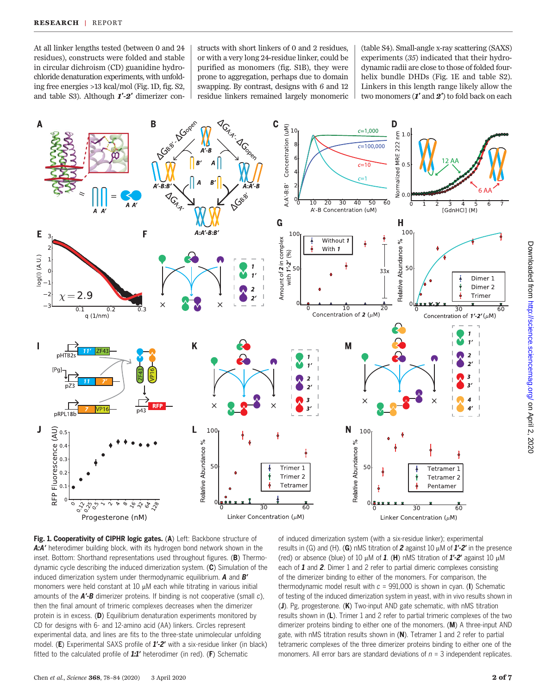At all linker lengths tested (between 0 and 24 residues), constructs were folded and stable in circular dichroism (CD) guanidine hydrochloride denaturation experiments, with unfolding free energies >13 kcal/mol (Fig. 1D, fig. S2, and table S3). Although  $1'-2'$  dimerizer con-

structs with short linkers of 0 and 2 residues, or with a very long 24-residue linker, could be purified as monomers (fig. S1B), they were prone to aggregation, perhaps due to domain swapping. By contrast, designs with 6 and 12 residue linkers remained largely monomeric

(table S4). Small-angle x-ray scattering (SAXS) experiments (35) indicated that their hydrodynamic radii are close to those of folded fourhelix bundle DHDs (Fig. 1E and table S2). Linkers in this length range likely allow the two monomers (1' and 2') to fold back on each



Fig. 1. Cooperativity of CIPHR logic gates. (A) Left: Backbone structure of A:A' heterodimer building block, with its hydrogen bond network shown in the inset. Bottom: Shorthand representations used throughout figures. (B) Thermodynamic cycle describing the induced dimerization system. (C) Simulation of the induced dimerization system under thermodynamic equilibrium.  $A$  and  $B'$ monomers were held constant at  $10 \mu$ M each while titrating in various initial amounts of the **A'-B** dimerizer proteins. If binding is not cooperative (small c), then the final amount of trimeric complexes decreases when the dimerizer protein is in excess. (D) Equilibrium denaturation experiments monitored by CD for designs with 6- and 12-amino acid (AA) linkers. Circles represent experimental data, and lines are fits to the three-state unimolecular unfolding model. (E) Experimental SAXS profile of  $1'-2'$  with a six-residue linker (in black) fitted to the calculated profile of  $1:1'$  heterodimer (in red). (F) Schematic

of induced dimerization system (with a six-residue linker); experimental results in (G) and (H). (G) nMS titration of 2 against 10  $\mu$ M of  $1'-2'$  in the presence (red) or absence (blue) of 10  $\mu$ M of 1. (H) nMS titration of 1'-2' against 10  $\mu$ M each of 1 and 2. Dimer 1 and 2 refer to partial dimeric complexes consisting of the dimerizer binding to either of the monomers. For comparison, the thermodynamic model result with  $c = 991,000$  is shown in cyan. (I) Schematic of testing of the induced dimerization system in yeast, with in vivo results shown in (J). Pg, progesterone. (K) Two-input AND gate schematic, with nMS titration results shown in (L). Trimer 1 and 2 refer to partial trimeric complexes of the two dimerizer proteins binding to either one of the monomers. (M) A three-input AND gate, with nMS titration results shown in  $(N)$ . Tetramer 1 and 2 refer to partial tetrameric complexes of the three dimerizer proteins binding to either one of the monomers. All error bars are standard deviations of  $n = 3$  independent replicates.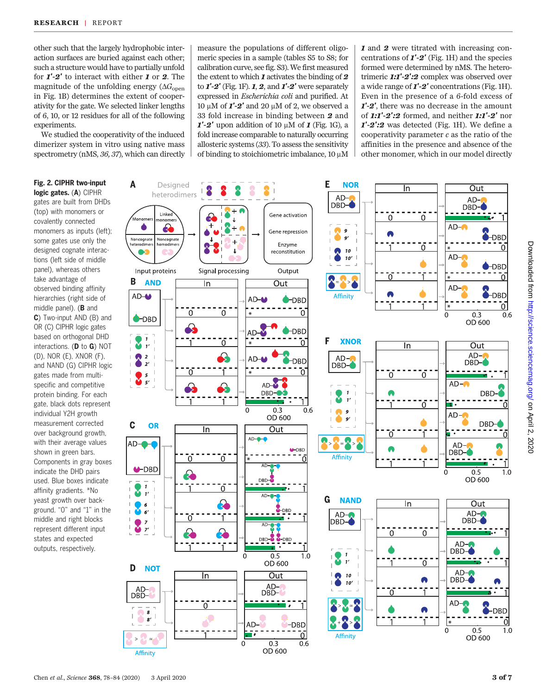other such that the largely hydrophobic interaction surfaces are buried against each other; such a structure would have to partially unfold for  $\mathbf{1}'$ -2' to interact with either **1** or **2**. The magnitude of the unfolding energy ( $\Delta G_{\text{open}}$ ) in Fig. 1B) determines the extent of cooperativity for the gate. We selected linker lengths of 6, 10, or 12 residues for all of the following experiments.

We studied the cooperativity of the induced dimerizer system in vitro using native mass spectrometry (nMS, 36, 37), which can directly

## Fig. 2. CIPHR two-input logic gates. (A) CIPHR

gates are built from DHDs (top) with monomers or covalently connected monomers as inputs (left); some gates use only the designed cognate interactions (left side of middle panel), whereas others take advantage of observed binding affinity hierarchies (right side of middle panel). (B and C) Two-input AND (B) and OR (C) CIPHR logic gates based on orthogonal DHD interactions. (D to G) NOT (D), NOR (E), XNOR (F), and NAND (G) CIPHR logic gates made from multispecific and competitive protein binding. For each gate, black dots represent individual Y2H growth measurement corrected over background growth, with their average values shown in green bars. Components in gray boxes indicate the DHD pairs used. Blue boxes indicate affinity gradients. \*No yeast growth over background. "0" and "1" in the middle and right blocks represent different input states and expected outputs, respectively.

measure the populations of different oligomeric species in a sample (tables S5 to S8; for calibration curve, see fig. S3). We first measured the extent to which  $\boldsymbol{\ell}$  activates the binding of  $\boldsymbol{2}$ to  $I'$ -2' (Fig. 1F). 1, 2, and  $I'$ -2' were separately expressed in Escherichia coli and purified. At 10  $\mu$ M of  $I'$ -2' and 20  $\mu$ M of 2, we observed a 33 fold increase in binding between 2 and  $1'-2'$  upon addition of 10  $\mu$ M of 1 (Fig. 1G), a fold increase comparable to naturally occurring allosteric systems (33). To assess the sensitivity of binding to stoichiometric imbalance, 10 uM 1 and 2 were titrated with increasing concentrations of  $I'$ -2' (Fig. 1H) and the species formed were determined by nMS. The heterotrimeric 1:1'-2':2 complex was observed over a wide range of  $\mathbf{I}'\text{-}2'$  concentrations (Fig. 1H). Even in the presence of a 6-fold excess of 1′-2′, there was no decrease in the amount of  $1:1'-2':2$  formed, and neither  $1:1'-2'$  nor  $1'-2':2$  was detected (Fig. 1H). We define a cooperativity parameter  $c$  as the ratio of the affinities in the presence and absence of the other monomer, which in our model directly

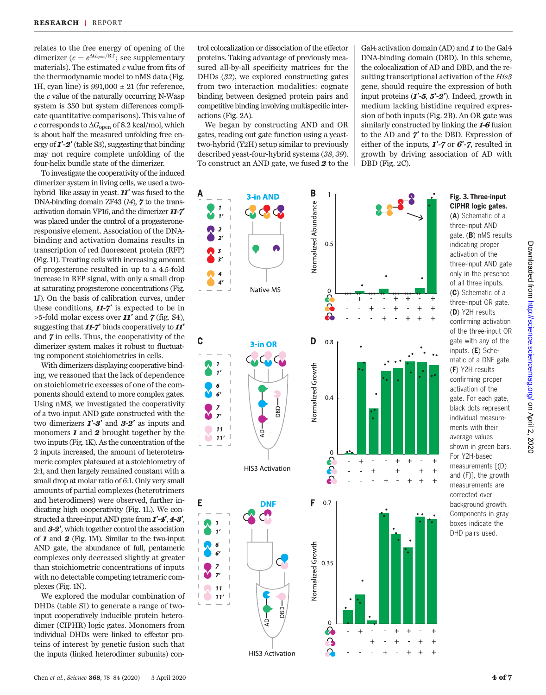relates to the free energy of opening of the dimerizer ( $c = e^{\Delta G_{open}/RT}$ ; see supplementary materials). The estimated  $c$  value from fits of the thermodynamic model to nMS data (Fig. 1H, cyan line) is  $991,000 \pm 21$  (for reference, the  $c$  value of the naturally occurring N-Wasp system is 350 but system differences complicate quantitative comparisons). This value of  $c$  corresponds to  $\Delta G_{\rm open}$  of 8.2 kcal/mol, which is about half the measured unfolding free energy of  $1'-2'$  (table S3), suggesting that binding may not require complete unfolding of the four-helix bundle state of the dimerizer.

To investigate the cooperativity of the induced dimerizer system in living cells, we used a twohybrid–like assay in yeast. 11′ was fused to the DNA-binding domain ZF43 (14), 7 to the transactivation domain VP16, and the dimerizer 11-7′ was placed under the control of a progesteroneresponsive element. Association of the DNAbinding and activation domains results in transcription of red fluorescent protein (RFP) (Fig. 1I). Treating cells with increasing amount of progesterone resulted in up to a 4.5-fold increase in RFP signal, with only a small drop at saturating progesterone concentrations (Fig. 1J). On the basis of calibration curves, under these conditions,  $11-7'$  is expected to be in  $>5$ -fold molar excess over **11'** and **7** (fig. S4), suggesting that 11-7′ binds cooperatively to 11′ and 7 in cells. Thus, the cooperativity of the dimerizer system makes it robust to fluctuating component stoichiometries in cells.

With dimerizers displaying cooperative binding, we reasoned that the lack of dependence on stoichiometric excesses of one of the components should extend to more complex gates. Using nMS, we investigated the cooperativity of a two-input AND gate constructed with the two dimerizers  $\mathbf{I}'\text{-}\mathbf{3}'$  and  $\mathbf{3}\text{-}\mathbf{2}'$  as inputs and monomers  $\boldsymbol{1}$  and  $\boldsymbol{2}$  brought together by the two inputs (Fig. 1K). As the concentration of the 2 inputs increased, the amount of heterotetrameric complex plateaued at a stoichiometry of 2:1, and then largely remained constant with a small drop at molar ratio of 6:1. Only very small amounts of partial complexes (heterotrimers and heterodimers) were observed, further indicating high cooperativity (Fig. 1L). We constructed a three-input AND gate from  $1'$ -4', 4-3', and 3-2′, which together control the association of 1 and 2 (Fig. 1M). Similar to the two-input AND gate, the abundance of full, pentameric complexes only decreased slightly at greater than stoichiometric concentrations of inputs with no detectable competing tetrameric complexes (Fig. 1N).

We explored the modular combination of DHDs (table S1) to generate a range of twoinput cooperatively inducible protein heterodimer (CIPHR) logic gates. Monomers from individual DHDs were linked to effector proteins of interest by genetic fusion such that the inputs (linked heterodimer subunits) con-

trol colocalization or dissociation of the effector proteins. Taking advantage of previously measured all-by-all specificity matrices for the DHDs (32), we explored constructing gates from two interaction modalities: cognate binding between designed protein pairs and competitive binding involving multispecific interactions (Fig. 2A).

We began by constructing AND and OR gates, reading out gate function using a yeasttwo-hybrid (Y2H) setup similar to previously described yeast-four-hybrid systems (38, 39). To construct an AND gate, we fused 2 to the

Gal4 activation domain (AD) and **1** to the Gal4 DNA-binding domain (DBD). In this scheme, the colocalization of AD and DBD, and the resulting transcriptional activation of the His3 gene, should require the expression of both input proteins  $(1'$ -5,  $5'$ -2'). Indeed, growth in medium lacking histidine required expression of both inputs (Fig. 2B). An OR gate was similarly constructed by linking the 1-6 fusion to the AD and 7′ to the DBD. Expression of either of the inputs,  $1'$ -7 or  $6'$ -7, resulted in growth by driving association of AD with DBD (Fig. 2C).



## Fig. 3. Three-input CIPHR logic gates.

(A) Schematic of a three-input AND gate. (B) nMS results indicating proper activation of the three-input AND gate only in the presence of all three inputs. (C) Schematic of a three-input OR gate. (D) Y2H results confirming activation of the three-input OR gate with any of the inputs. (E) Schematic of a DNF gate. (F) Y2H results confirming proper activation of the gate. For each gate, black dots represent individual measurements with their average values shown in green bars. For Y2H-based measurements [(D) and (F)], the growth measurements are corrected over background growth. Components in gray boxes indicate the DHD pairs used.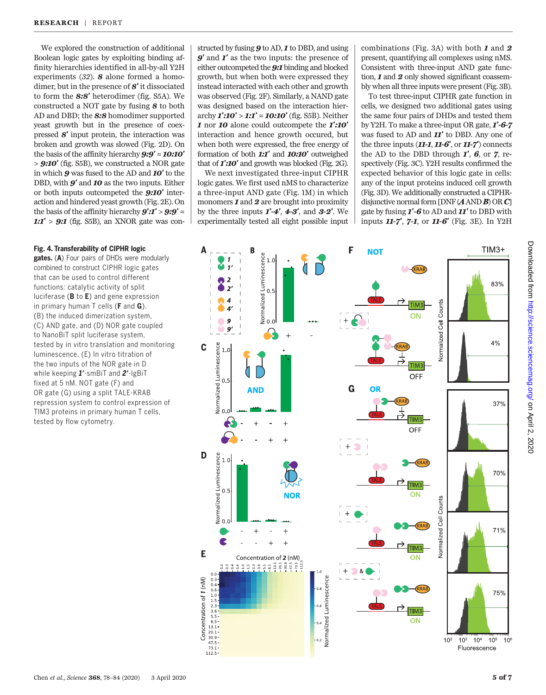We explored the construction of additional Boolean logic gates by exploiting binding affinity hierarchies identified in all-by-all Y2H experiments (32). 8 alone formed a homodimer, but in the presence of 8′ it dissociated to form the 8:8′ heterodimer (fig. S5A). We constructed a NOT gate by fusing 8 to both AD and DBD; the 8:8 homodimer supported yeast growth but in the presence of coexpressed 8′ input protein, the interaction was broken and growth was slowed (Fig. 2D). On the basis of the affinity hierarchy  $9:9' \approx 10:10'$  $> 9:10'$  (fig. S5B), we constructed a NOR gate in which 9 was fused to the AD and 10′ to the DBD, with **9'** and **10** as the two inputs. Either or both inputs outcompeted the 9:10′ interaction and hindered yeast growth (Fig. 2E). On the basis of the affinity hierarchy  $9'$ : $1'$  >  $9$ : $9'$   $\approx$ 1:1' >  $9:1$  (fig. S5B), an XNOR gate was con-

#### Fig. 4. Transferability of CIPHR logic

gates. (A) Four pairs of DHDs were modularly combined to construct CIPHR logic gates that can be used to control different functions: catalytic activity of split luciferase (B to E) and gene expression in primary human  $T$  cells ( $F$  and  $G$ ). (B) the induced dimerization system, (C) AND gate, and (D) NOR gate coupled to NanoBiT split luciferase system, tested by in vitro translation and monitoring luminescence. (E) In vitro titration of the two inputs of the NOR gate in D while keeping 1'-smBiT and 2'-lgBiT fixed at 5 nM. NOT gate (F) and OR gate (G) using a split TALE-KRAB repression system to control expression of TIM3 proteins in primary human T cells, tested by flow cytometry.

structed by fusing  $9$  to AD,  $1$  to DBD, and using 9′ and 1′ as the two inputs: the presence of either outcompeted the 9:1 binding and blocked growth, but when both were expressed they instead interacted with each other and growth was observed (Fig. 2F). Similarly, a NAND gate was designed based on the interaction hierarchy  $\mathbf{1}':\mathbf{10'}>\mathbf{1}:\mathbf{1}''\approx \mathbf{10}:\mathbf{10'}$  (fig. S5B). Neither 1 nor 10 alone could outcompete the 1':10' interaction and hence growth occured, but when both were expressed, the free energy of formation of both  $1:1'$  and  $10:10'$  outweighed that of **1':10'** and growth was blocked (Fig. 2G).

We next investigated three-input CIPHR logic gates. We first used nMS to characterize a three-input AND gate (Fig. 1M) in which monomers  $\boldsymbol{I}$  and  $\boldsymbol{2}$  are brought into proximity by the three inputs  $1'$ -4', 4-3', and 3-2'. We experimentally tested all eight possible input combinations (Fig. 3A) with both  $\boldsymbol{I}$  and  $\boldsymbol{2}$ present, quantifying all complexes using nMS. Consistent with three-input AND gate function, **1** and **2** only showed significant coassembly when all three inputs were present (Fig. 3B).

To test three-input CIPHR gate function in cells, we designed two additional gates using the same four pairs of DHDs and tested them by Y2H. To make a three-input OR gate, 1′-6-7 was fused to AD and  $II'$  to DBD. Any one of the three inputs  $(11-1, 11-6', 0r 11-7')$  connects the AD to the DBD through  $I'$ , 6, or 7, respectively (Fig. 3C). Y2H results confirmed the expected behavior of this logic gate in cells: any of the input proteins induced cell growth (Fig. 3D). We additionally constructed a CIPHRdisjunctive normal form  $[DNF(AANDB) ORC]$ gate by fusing 1′-6 to AD and 11′ to DBD with inputs 11-7′, 7-1, or 11-6′ (Fig. 3E). In Y2H

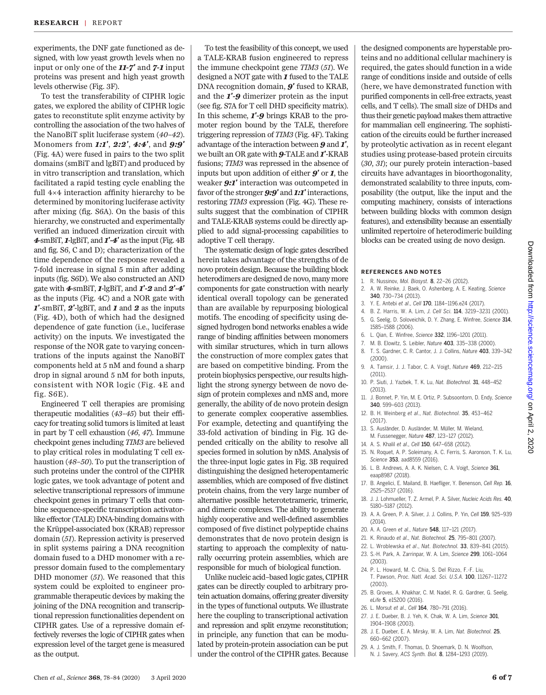experiments, the DNF gate functioned as designed, with low yeast growth levels when no input or only one of the 11-7' and 7-1 input proteins was present and high yeast growth levels otherwise (Fig. 3F).

To test the transferability of CIPHR logic gates, we explored the ability of CIPHR logic gates to reconstitute split enzyme activity by controlling the association of the two halves of the NanoBiT split luciferase system (40–42). Monomers from 1:1', 2:2', 4:4', and 9:9' (Fig. 4A) were fused in pairs to the two split domains (smBiT and lgBiT) and produced by in vitro transcription and translation, which facilitated a rapid testing cycle enabling the full 4×4 interaction affinity hierarchy to be determined by monitoring luciferase activity after mixing (fig. S6A). On the basis of this hierarchy, we constructed and experimentally verified an induced dimerization circuit with  $4\text{-smBiT}, 1\text{-lgBiT}, \text{and } 1^\prime - 4^\prime \text{ as the input (Fig. 4B)}$ and fig. S6, C and D); characterization of the time dependence of the response revealed a 7-fold increase in signal 5 min after adding inputs (fig. S6D). We also constructed an AND gate with 4-smBiT, 1-lgBiT, and 1′-2 and 2′-4′ as the inputs (Fig. 4C) and a NOR gate with  $I'$ -smBiT,  $2'$ -lgBiT, and  $I$  and  $2$  as the inputs (Fig. 4D), both of which had the designed dependence of gate function (i.e., luciferase activity) on the inputs. We investigated the response of the NOR gate to varying concentrations of the inputs against the NanoBiT components held at 5 nM and found a sharp drop in signal around 5 nM for both inputs, consistent with NOR logic (Fig. 4E and fig. S6E).

Engineered T cell therapies are promising therapeutic modalities (43–45) but their efficacy for treating solid tumors is limited at least in part by T cell exhaustion (46, 47). Immune checkpoint genes including TIM3 are believed to play critical roles in modulating T cell exhaustion (48–50). To put the transcription of such proteins under the control of the CIPHR logic gates, we took advantage of potent and selective transcriptional repressors of immune checkpoint genes in primary T cells that combine sequence-specific transcription activatorlike effector (TALE) DNA-binding domains with the Krüppel-associated box (KRAB) repressor domain (51). Repression activity is preserved in split systems pairing a DNA recognition domain fused to a DHD monomer with a repressor domain fused to the complementary DHD monomer (51). We reasoned that this system could be exploited to engineer programmable therapeutic devices by making the joining of the DNA recognition and transcriptional repression functionalities dependent on CIPHR gates. Use of a repressive domain effectively reverses the logic of CIPHR gates when expression level of the target gene is measured as the output.

To test the feasibility of this concept, we used a TALE-KRAB fusion engineered to repress the immune checkpoint gene TIM3 (51). We designed a NOT gate with  $\boldsymbol{I}$  fused to the TALE DNA recognition domain,  $9'$  fused to KRAB, and the 1′-9 dimerizer protein as the input (see fig. S7A for T cell DHD specificity matrix). In this scheme, **1'-9** brings KRAB to the promoter region bound by the TALE, therefore triggering repression of TIM3 (Fig. 4F). Taking advantage of the interaction between 9 and 1′, we built an OR gate with **9-TALE** and **1'-KRAB** fusions; TIM3 was repressed in the absence of inputs but upon addition of either  $9'$  or  $1$ , the weaker **9:1'** interaction was outcompeted in favor of the stronger **9:9'** and **1:1'** interactions, restoring TIM3 expression (Fig. 4G). These results suggest that the combination of CIPHR and TALE-KRAB systems could be directly applied to add signal-processing capabilities to adoptive T cell therapy.

The systematic design of logic gates described herein takes advantage of the strengths of de novo protein design. Because the building block heterodimers are designed de novo, many more components for gate construction with nearly identical overall topology can be generated than are available by repurposing biological motifs. The encoding of specificity using designed hydrogen bond networks enables a wide range of binding affinities between monomers with similar structures, which in turn allows the construction of more complex gates that are based on competitive binding. From the protein biophysics perspective, our results highlight the strong synergy between de novo design of protein complexes and nMS and, more generally, the ability of de novo protein design to generate complex cooperative assemblies. For example, detecting and quantifying the 33-fold activation of binding in Fig. 1G depended critically on the ability to resolve all species formed in solution by nMS. Analysis of the three-input logic gates in Fig. 3B required distinguishing the designed heteropentameric assemblies, which are composed of five distinct protein chains, from the very large number of alternative possible heterotetrameric, trimeric, and dimeric complexes. The ability to generate highly cooperative and well-defined assemblies composed of five distinct polypeptide chains demonstrates that de novo protein design is starting to approach the complexity of naturally occurring protein assemblies, which are responsible for much of biological function.

Unlike nucleic acid–based logic gates, CIPHR gates can be directly coupled to arbitrary protein actuation domains, offering greater diversity in the types of functional outputs. We illustrate here the coupling to transcriptional activation and repression and split enzyme reconstitution; in principle, any function that can be modulated by protein-protein association can be put under the control of the CIPHR gates. Because

the designed components are hyperstable proteins and no additional cellular machinery is required, the gates should function in a wide range of conditions inside and outside of cells (here, we have demonstrated function with purified components in cell-free extracts, yeast cells, and T cells). The small size of DHDs and thus their genetic payload makes them attractive for mammalian cell engineering. The sophistication of the circuits could be further increased by proteolytic activation as in recent elegant studies using protease-based protein circuits (30, 31); our purely protein interaction–based circuits have advantages in bioorthogonality, demonstrated scalability to three inputs, composability (the output, like the input and the computing machinery, consists of interactions between building blocks with common design features), and extensibility because an essentially unlimited repertoire of heterodimeric building blocks can be created using de novo design.

#### REFERENCES AND NOTES

- 1. R. Nussinov, Mol. Biosyst. 8, 22–26 (2012).
- 2. A. W. Reinke, J. Baek, O. Ashenberg, A. E. Keating, Science 340, 730–734 (2013).
- 3. Y. E. Antebi et al., Cell 170, 1184–1196.e24 (2017).
- 4. B. Z. Harris, W. A. Lim, J. Cell Sci. 114, 3219–3231 (2001).
- 5. G. Seelig, D. Soloveichik, D. Y. Zhang, E. Winfree, Science 314, 1585–1588 (2006).
- 6. L. Qian, E. Winfree, Science 332, 1196–1201 (2011).
- 7. M. B. Elowitz, S. Leibler, Nature 403, 335–338 (2000). 8. T. S. Gardner, C. R. Cantor, J. J. Collins, Nature 403, 339–342 (2000).
- 9. A. Tamsir, J. J. Tabor, C. A. Voigt, Nature 469, 212–215 (2011).
- 10. P. Siuti, J. Yazbek, T. K. Lu, Nat. Biotechnol. 31, 448–452 (2013).
- 11. J. Bonnet, P. Yin, M. E. Ortiz, P. Subsoontorn, D. Endy, Science 340, 599–603 (2013).
- 12. B. H. Weinberg et al., Nat. Biotechnol. 35, 453–462 (2017).
- 13. S. Ausländer, D. Ausländer, M. Müller, M. Wieland, M. Fussenegger, Nature 487, 123–127 (2012).
- 14. A. S. Khalil et al., Cell 150, 647-658 (2012).
- 15. N. Roquet, A. P. Soleimany, A. C. Ferris, S. Aaronson, T. K. Lu, Science 353, aad8559 (2016).
- 16. L. B. Andrews, A. A. K. Nielsen, C. A. Voigt, Science 361, eaap8987 (2018).
- 17. B. Angelici, E. Mailand, B. Haefliger, Y. Benenson, Cell Rep. 16, 2525–2537 (2016).
- 18. J. J. Lohmueller, T. Z. Armel, P. A. Silver, Nucleic Acids Res. 40, 5180–5187 (2012).
- 19. A. A. Green, P. A. Silver, J. J. Collins, P. Yin, Cell 159, 925–939 (2014).
- 20. A. A. Green et al., Nature 548, 117–121 (2017).
- 21. K. Rinaudo et al., Nat. Biotechnol. 25, 795–801 (2007).
- 22. L. Wroblewska et al., Nat. Biotechnol. 33, 839–841 (2015).
- 23. S.-H. Park, A. Zarrinpar, W. A. Lim, Science 299, 1061–1064 (2003).
- 24. P. L. Howard, M. C. Chia, S. Del Rizzo, F.-F. Liu, T. Pawson, Proc. Natl. Acad. Sci. U.S.A. 100, 11267–11272 (2003).
- 25. B. Groves, A. Khakhar, C. M. Nadel, R. G. Gardner, G. Seelig, eLife 5, e15200 (2016).
- 26. L. Morsut et al., Cell 164, 780–791 (2016).
- 27. J. E. Dueber, B. J. Yeh, K. Chak, W. A. Lim, Science 301, 1904–1908 (2003).
- 28. J. E. Dueber, E. A. Mirsky, W. A. Lim, Nat. Biotechnol. 25, 660–662 (2007).
- 29. A. J. Smith, F. Thomas, D. Shoemark, D. N. Woolfson,
- N. J. Savery, ACS Synth. Biol. 8, 1284–1293 (2019).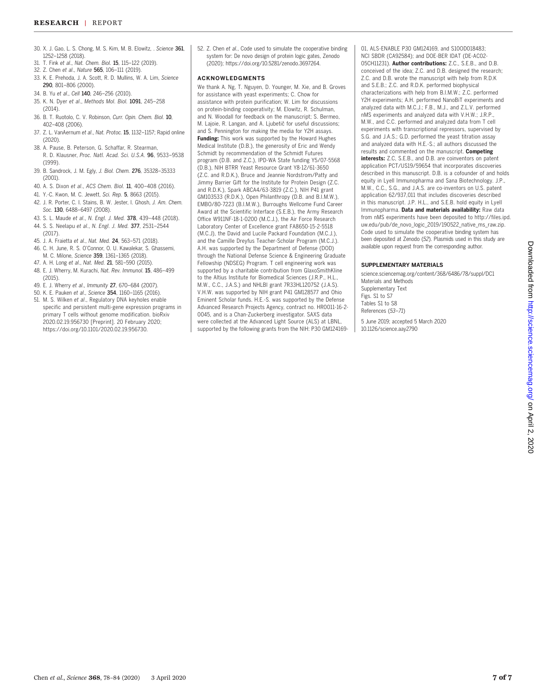- 30. X. J. Gao, L. S. Chong, M. S. Kim, M. B. Elowitz, . Science 361, 1252–1258 (2018).
- 31. T. Fink et al., Nat. Chem. Biol. 15, 115–122 (2019).
- 32. Z. Chen et al., Nature 565, 106–111 (2019). 33. K. E. Prehoda, J. A. Scott, R. D. Mullins, W. A. Lim, Science
- 290, 801–806 (2000).
- 34. B. Yu et al., Cell 140, 246–256 (2010).
- 35. K. N. Dyer et al., Methods Mol. Biol. 1091, 245–258 (2014).
- 36. B. T. Ruotolo, C. V. Robinson, Curr. Opin. Chem. Biol. 10, 402–408 (2006).
- 37. Z. L. VanAernum et al., Nat. Protoc. 15, 1132–1157; Rapid online (2020).
- 38. A. Pause, B. Peterson, G. Schaffar, R. Stearman, R. D. Klausner, Proc. Natl. Acad. Sci. U.S.A. 96, 9533–9538 (1999).
- 39. B. Sandrock, J. M. Egly, J. Biol. Chem. 276, 35328–35333 (2001).
- 40. A. S. Dixon et al., ACS Chem. Biol. 11, 400–408 (2016).
- 41. Y.-C. Kwon, M. C. Jewett, Sci. Rep. 5, 8663 (2015).
- 42. J. R. Porter, C. I. Stains, B. W. Jester, I. Ghosh, J. Am. Chem. Soc. 130, 6488-6497 (2008).
- 43. S. L. Maude et al., N. Engl. J. Med. 378, 439–448 (2018).
- 44. S. S. Neelapu et al., N. Engl. J. Med. 377, 2531–2544
- (2017).
- 45. J. A. Fraietta et al., Nat. Med. 24, 563–571 (2018). 46. C. H. June, R. S. O'Connor, O. U. Kawalekar, S. Ghassemi,
- M. C. Milone, Science 359, 1361–1365 (2018). 47. A. H. Long et al., Nat. Med. 21, 581–590 (2015).
- 48. E. J. Wherry, M. Kurachi, Nat. Rev. Immunol. 15, 486–499 (2015).
- 49. E. J. Wherry et al., Immunity 27, 670–684 (2007).
- 50. K. E. Pauken et al., Science 354, 1160–1165 (2016).
- 51. M. S. Wilken et al., Regulatory DNA keyholes enable specific and persistent multi-gene expression programs in primary T cells without genome modification. bioRxiv 2020.02.19.956730 [Preprint]. 20 February 2020; [https://doi.org/10.1101/2020.02.19.956730.](https://doi.org/10.1101/2020.02.19.956730)

52. Z. Chen et al., Code used to simulate the cooperative binding system for: De novo design of protein logic gates, Zenodo (2020); [https://doi.org/10.5281/zenodo.3697264.](https://doi.org/10.5281/zenodo.3697264)

#### ACKNOWLEDGMENTS

We thank A. Ng, T. Nguyen, D. Younger, M. Xie, and B. Groves for assistance with yeast experiments; C. Chow for assistance with protein purification; W. Lim for discussions on protein-binding cooperativity; M. Elowitz, R. Schulman, and N. Woodall for feedback on the manuscript; S. Bermeo, M. Lajoie, R. Langan, and A. Ljubetič for useful discussions; and S. Pennington for making the media for Y2H assays. Funding: This work was supported by the Howard Hughes Medical Institute (D.B.), the generosity of Eric and Wendy Schmidt by recommendation of the Schmidt Futures program (D.B. and Z.C.), IPD-WA State funding Y5/07-5568 (D.B.), NIH BTRR Yeast Resource Grant Y8-12/61-3650 (Z.C. and R.D.K.), Bruce and Jeannie Nordstrom/Patty and Jimmy Barrier Gift for the Institute for Protein Design (Z.C. and R.D.K.), Spark ABCA4/63-3819 (Z.C.), NIH P41 grant GM103533 (R.D.K.), Open Philanthropy (D.B. and B.I.M.W.), EMBO/80-7223 (B.I.M.W.), Burroughs Wellcome Fund Career Award at the Scientific Interface (S.E.B.), the Army Research Office W911NF-18-1-0200 (M.C.J.), the Air Force Research Laboratory Center of Excellence grant FA8650-15-2-5518 (M.C.J), the David and Lucile Packard Foundation (M.C.J.), and the Camille Dreyfus Teacher-Scholar Program (M.C.J.). A.H. was supported by the Department of Defense (DOD) through the National Defense Science & Engineering Graduate Fellowship (NDSEG) Program. T cell engineering work was supported by a charitable contribution from GlaxoSmithKline to the Altius Institute for Biomedical Sciences (J.R.P., H.L., M.W., C.C., J.A.S.) and NHLBI grant 7R33HL120752 (J.A.S). V.H.W. was supported by NIH grant P41 GM128577 and Ohio Eminent Scholar funds. H.E.-S. was supported by the Defense Advanced Research Projects Agency, contract no. HR0011-16-2- 0045, and is a Chan-Zuckerberg investigator. SAXS data were collected at the Advanced Light Source (ALS) at LBNL, supported by the following grants from the NIH: P30 GM12416901, ALS-ENABLE P30 GM124169, and S10OD018483; NCI SBDR (CA92584); and DOE-BER IDAT (DE-AC02- 05CH11231). Author contributions: Z.C., S.E.B., and D.B. conceived of the idea; Z.C. and D.B. designed the research; Z.C. and D.B. wrote the manuscript with help from R.D.K and S.E.B.; Z.C. and R.D.K. performed biophysical characterizations with help from B.I.M.W.; Z.C. performed Y2H experiments; A.H. performed NanoBiT experiments and analyzed data with M.C.J.; F.B., M.J., and Z.L.V. performed nMS experiments and analyzed data with V.H.W.; J.R.P., M.W., and C.C. performed and analyzed data from T cell experiments with transcriptional repressors, supervised by S.G. and J.A.S.; G.D. performed the yeast titration assay and analyzed data with H.E.-S.; all authors discussed the results and commented on the manuscript. Competing interests: Z.C, S.E.B., and D.B. are coinventors on patent application PCT/US19/59654 that incorporates discoveries described in this manuscript. D.B. is a cofounder of and holds equity in Lyell Immunopharma and Sana Biotechnology. J.P., M.W., C.C., S.G., and J.A.S. are co-inventors on U.S. patent application 62/937,011 that includes discoveries described in this manuscript. J.P. H.L., and S.E.B. hold equity in Lyell Immunopharma. Data and materials availability: Raw data from nMS experiments have been deposited to [http://files.ipd.](http://files.ipd.uw.edu/pub/de_novo_logic_2019/190522_native_ms_raw.zip) [uw.edu/pub/de\\_novo\\_logic\\_2019/190522\\_native\\_ms\\_raw.zip.](http://files.ipd.uw.edu/pub/de_novo_logic_2019/190522_native_ms_raw.zip) Code used to simulate the cooperative binding system has been deposited at Zenodo (52). Plasmids used in this study are available upon request from the corresponding author.

#### SUPPLEMENTARY MATERIALS

[science.sciencemag.org/content/368/6486/78/suppl/DC1](https://science.sciencemag.org/content/368/6486/78/suppl/DC1) Materials and Methods Supplementary Text Figs. S1 to S7 Tables S1 to S8 References (53–71) 5 June 2019; accepted 5 March 2020 10.1126/science.aay2790